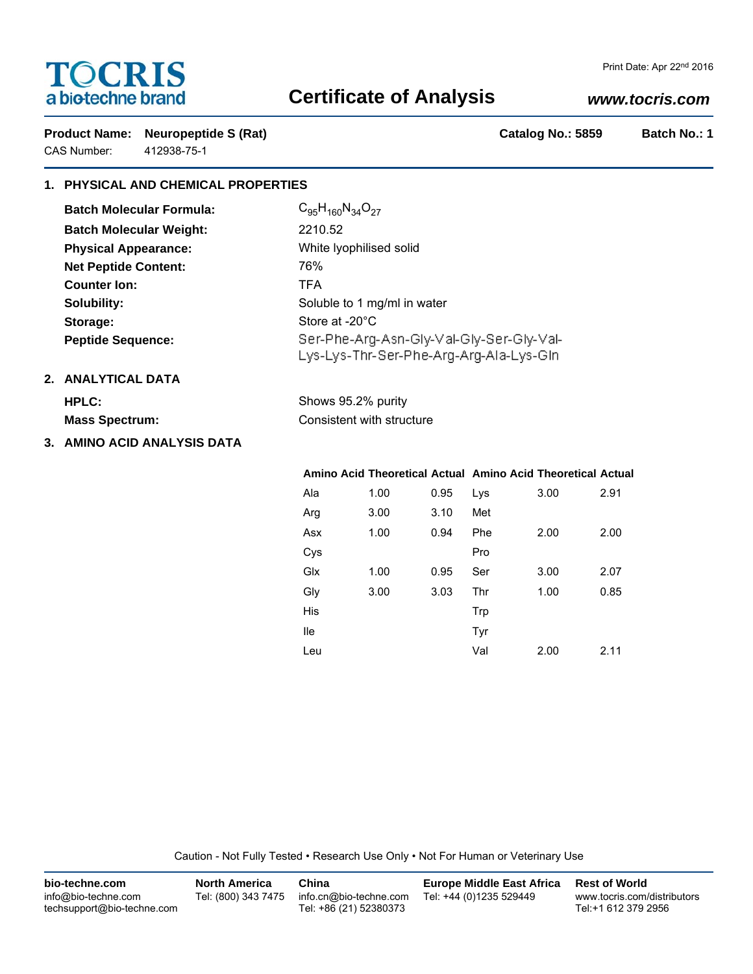# **TOCRIS** a biotechne brand

# **Certificate of Analysis**

## *www.tocris.com*

Product Name: Neuropeptide S (Rat) **Catalog No.: 5859** Batch No.: 1 CAS Number: 412938-75-1

### **1. PHYSICAL AND CHEMICAL PROPERTIES**

| <b>Batch Molecular Formula:</b> | $C_{95}H_{160}N_{34}O_{27}$                                                         |
|---------------------------------|-------------------------------------------------------------------------------------|
| <b>Batch Molecular Weight:</b>  | 2210.52                                                                             |
| <b>Physical Appearance:</b>     | White Iyophilised solid                                                             |
| <b>Net Peptide Content:</b>     | 76%                                                                                 |
| <b>Counter lon:</b>             | <b>TFA</b>                                                                          |
| Solubility:                     | Soluble to 1 mg/ml in water                                                         |
| Storage:                        | Store at -20°C                                                                      |
| <b>Peptide Sequence:</b>        | Ser-Phe-Arg-Asn-Gly-Val-Gly-Ser-Gly-Val-<br>Lys-Lys-Thr-Ser-Phe-Arg-Arg-Ala-Lys-Gln |
| .                               |                                                                                     |

Shows 95.2% purity

### **2. ANALYTICAL DATA**

|  | HPLC: |  |  |  |
|--|-------|--|--|--|
|  |       |  |  |  |

**Mass Spectrum:** Consistent with structure

### **3. AMINO ACID ANALYSIS DATA**

|     |      |      | Amino Acid Theoretical Actual Amino Acid Theoretical Actual |      |      |
|-----|------|------|-------------------------------------------------------------|------|------|
| Ala | 1.00 | 0.95 | Lys                                                         | 3.00 | 2.91 |
| Arg | 3.00 | 3.10 | Met                                                         |      |      |
| Asx | 1.00 | 0.94 | Phe                                                         | 2.00 | 2.00 |
| Cys |      |      | Pro                                                         |      |      |
| Glx | 1.00 | 0.95 | Ser                                                         | 3.00 | 2.07 |
| Gly | 3.00 | 3.03 | Thr                                                         | 1.00 | 0.85 |
| His |      |      | Trp                                                         |      |      |
| lle |      |      | Tyr                                                         |      |      |
| Leu |      |      | Val                                                         | 2.00 | 2.11 |

Caution - Not Fully Tested • Research Use Only • Not For Human or Veterinary Use

| bio-techne.com                                    | <b>North America</b> | China                                            | <b>Europe Middle East Africa</b> | <b>Rest of World</b>                               |
|---------------------------------------------------|----------------------|--------------------------------------------------|----------------------------------|----------------------------------------------------|
| info@bio-techne.com<br>techsupport@bio-techne.com | Tel: (800) 343 7475  | info.cn@bio-techne.com<br>Tel: +86 (21) 52380373 | Tel: +44 (0)1235 529449          | www.tocris.com/distributors<br>Tel:+1 612 379 2956 |